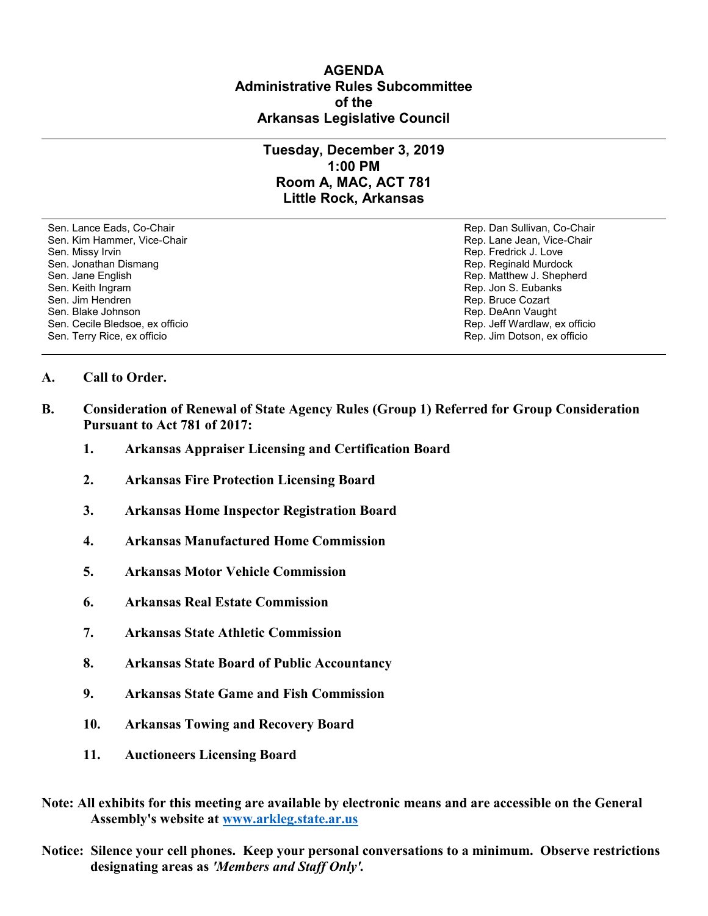## **AGENDA Administrative Rules Subcommittee of the Arkansas Legislative Council**

## **Tuesday, December 3, 2019 1:00 PM Room A, MAC, ACT 781 Little Rock, Arkansas**

Sen. Lance Eads, Co-Chair Rep. Dan Sullivan, Co-Chair Sen. Kim Hammer, Vice-Chair **Rep. Lane Jean, Vice-Chair** Rep. Lane Jean, Vice-Chair Sen. Missy Irvin November 2012 19:00 and the sense of the sense of the Rep. Fredrick J. Love Sen. Jonathan Dismang Rep. Reginald Murdock Sen. Jane English Rep. Matthew J. Shepherd Rep. Matthew J. Shepherd Sen. Keith Ingram Rep. Jon S. Eubanks (Sen. Keith Ingram Rep. Jon S. Eubanks (Sen. Jon S. Eubanks (Sen. Jon S. Eubanks (Sen. Jon S. Eubanks (Sen. Jon S. Eubanks (Sen. Jon S. Eubanks (Sen. Jon S. Eubanks (Sen. Jon S. Eubank Sen. Jim Hendren Rep. Bruce Cozart (1999) Sen. Jim Hendren Rep. Bruce Cozart (1999) Sen. Bruce Cozart (1999) Sen. Bruce Cozart (1999) Sen. Bruce Cozart (1999) Sen. Bruce Cozart (1999) Sen. Bruce Cozart (1999) Sen. Bruce Co Sen. Cecile Bledsoe, ex officio Sen. Terry Rice, ex officio Rep. Jim Dotson, ex officio

Rep. DeAnn Vaught<br>Rep. Jeff Wardlaw, ex officio

## **A. Call to Order.**

- **B. Consideration of Renewal of State Agency Rules (Group 1) Referred for Group Consideration Pursuant to Act 781 of 2017:**
	- **1. Arkansas Appraiser Licensing and Certification Board**
	- **2. Arkansas Fire Protection Licensing Board**
	- **3. Arkansas Home Inspector Registration Board**
	- **4. Arkansas Manufactured Home Commission**
	- **5. Arkansas Motor Vehicle Commission**
	- **6. Arkansas Real Estate Commission**
	- **7. Arkansas State Athletic Commission**
	- **8. Arkansas State Board of Public Accountancy**
	- **9. Arkansas State Game and Fish Commission**
	- **10. Arkansas Towing and Recovery Board**
	- **11. Auctioneers Licensing Board**
- **Note: All exhibits for this meeting are available by electronic means and are accessible on the General Assembly's website at [www.arkleg.state.ar.us](http://www.arkleg.state.ar.us)**
- **Notice: Silence your cell phones. Keep your personal conversations to a minimum. Observe restrictions designating areas as** *'Members and Staff Only'.*